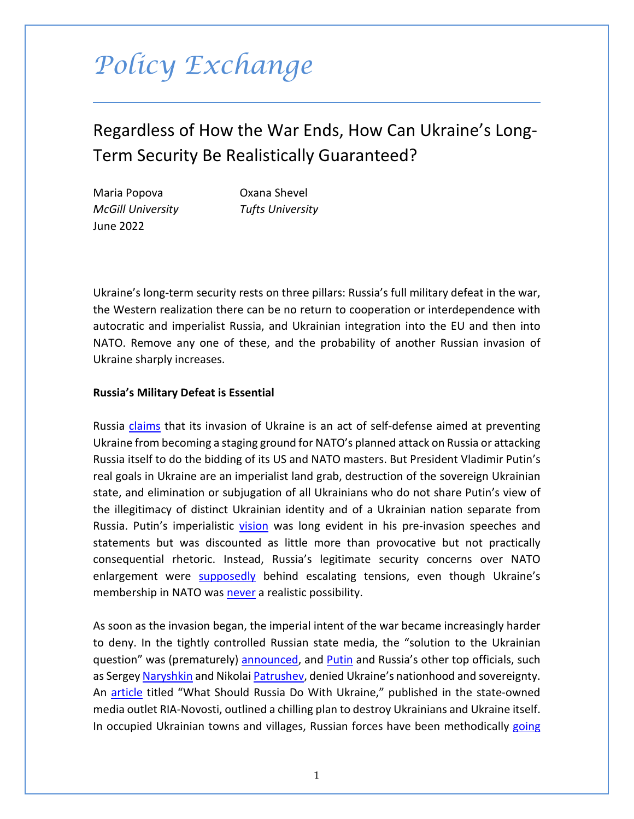# *Policy Exchange*

# Regardless of How the War Ends, How Can Ukraine's Long-Term Security Be Realistically Guaranteed?

Maria Popova Oxana Shevel *McGill University Tufts University* June 2022

Ukraine's long-term security rests on three pillars: Russia's full military defeat in the war, the Western realization there can be no return to cooperation or interdependence with autocratic and imperialist Russia, and Ukrainian integration into the EU and then into NATO. Remove any one of these, and the probability of another Russian invasion of Ukraine sharply increases.

### **Russia's Military Defeat is Essential**

Russia *claims* that its invasion of Ukraine is an act of self-defense aimed at preventing Ukraine from becoming a staging ground for NATO's planned attack on Russia or attacking Russia itself to do the bidding of its US and NATO masters. But President Vladimir Putin's real goals in Ukraine are an imperialist land grab, destruction of the sovereign Ukrainian state, and elimination or subjugation of all Ukrainians who do not share Putin's view of the illegitimacy of distinct Ukrainian identity and of a Ukrainian nation separate from Russia. Putin's imperialistic [vision](http://en.kremlin.ru/events/president/news/66181) was long evident in his pre-invasion speeches and statements but was discounted as little more than provocative but not practically consequential rhetoric. Instead, Russia's legitimate security concerns over NATO enlargement were [supposedly](https://www.economist.com/by-invitation/2022/03/11/john-mearsheimer-on-why-the-west-is-principally-responsible-for-the-ukrainian-crisis) behind escalating tensions, even though Ukraine's membership in NATO was [never](https://slate.com/news-and-politics/2022/02/putin-war-is-not-about-nato.html) a realistic possibility.

As soon as the invasion began, the imperial intent of the war became increasingly harder to deny. In the tightly controlled Russian state media, the "solution to the Ukrainian question" was (prematurely) [announced,](https://www.think.cz/english/politics/ria-news-translated) and [Putin](https://www.nytimes.com/2022/02/21/world/europe/putin-speech-transcript.html) and Russia's other top officials, such as Sergey [Naryshkin](https://ria.ru/20220428/polsha-1785925942.html) and Nikolai [Patrushev,](https://ria.ru/20220426/ukraina-1785558335.html) denied Ukraine's nationhood and sovereignty. An [article](https://medium.com/@kravchenko_mm/what-should-russia-do-with-ukraine-translation-of-a-propaganda-article-by-a-russian-journalist-a3e92e3cb64) titled "What Should Russia Do With Ukraine," published in the state-owned media outlet RIA-Novosti, outlined a chilling plan to destroy Ukrainians and Ukraine itself. In occupied Ukrainian towns and villages, Russian forces have been methodically going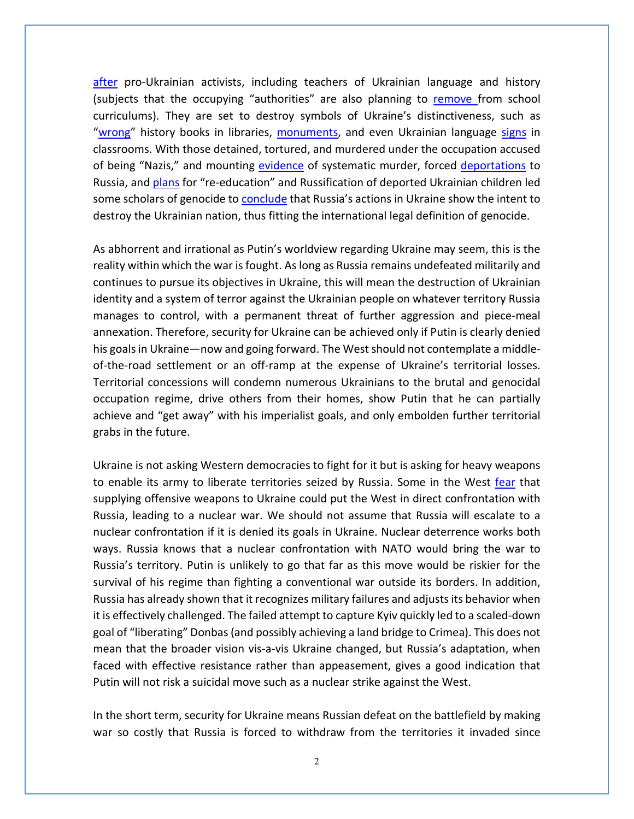[after](https://www.understandingwar.org/backgrounder/russian-offensive-campaign-assessment-april-27) pro-Ukrainian activists, including teachers of Ukrainian language and history (subjects that the occupying "authorities" are also planning to [remove f](https://www.pravda.com.ua/news/2022/04/28/7342734/)rom school curriculums). They are set to destroy symbols of Ukraine's distinctiveness, such as ["wrong"](https://gur.gov.ua/content/okupatsiini-viiska-vyluchaiut-ta-znyshchuiut-ukrainsku-literaturu-ta-pidruchnyky-istorii.html) history books in libraries, [monuments,](https://firstregion.com.ua/novyny-hersonshhyny/u-hersoni-okupanty-znyaly-prapor-ukrayiny-z-pamyatnyka-geroyam-nebesnoyi-sotni/?utm_source=rss&utm_medium=rss&utm_campaign=u-hersoni-okupanty-znyaly-prapor-ukrayiny-z-pamyatnyka-geroyam-nebesnoyi-sotni) and even Ukrainian language [signs](https://www.facebook.com/julia.kovalenko.1426) in classrooms. With those detained, tortured, and murdered under the occupation accused of being "Nazis," and mounting [evidence](https://www.vox.com/23017838/international-criminal-court-icc-putin-war-crimes) of systematic murder, forced [deportations](https://news.yahoo.com/russia-claims-deported-over-million-194837950.html) to Russia, and [plans](https://dilo.net.ua/novyny/vyvezenyh-do-rosisyi-ukrayinskyh-ditej-vyrishyly-navchyty-rosijskoyi-movy-stvoryvshy-spetstabory/) for "re-education" and Russification of deported Ukrainian children led some scholars of genocide to **conclude** that Russia's actions in Ukraine show the intent to destroy the Ukrainian nation, thus fitting the international legal definition of genocide.

As abhorrent and irrational as Putin's worldview regarding Ukraine may seem, this is the reality within which the war is fought. As long as Russia remains undefeated militarily and continues to pursue its objectives in Ukraine, this will mean the destruction of Ukrainian identity and a system of terror against the Ukrainian people on whatever territory Russia manages to control, with a permanent threat of further aggression and piece-meal annexation. Therefore, security for Ukraine can be achieved only if Putin is clearly denied his goals in Ukraine—now and going forward. The West should not contemplate a middleof-the-road settlement or an off-ramp at the expense of Ukraine's territorial losses. Territorial concessions will condemn numerous Ukrainians to the brutal and genocidal occupation regime, drive others from their homes, show Putin that he can partially achieve and "get away" with his imperialist goals, and only embolden further territorial grabs in the future.

Ukraine is not asking Western democracies to fight for it but is asking for heavy weapons to enable its army to liberate territories seized by Russia. Some in the West [fear](https://www.politico.eu/article/germany-chancellor-olaf-scholz-nuclear-war-tanks-heavy-weapons-ukraine-russia-invasion/) that supplying offensive weapons to Ukraine could put the West in direct confrontation with Russia, leading to a nuclear war. We should not assume that Russia will escalate to a nuclear confrontation if it is denied its goals in Ukraine. Nuclear deterrence works both ways. Russia knows that a nuclear confrontation with NATO would bring the war to Russia's territory. Putin is unlikely to go that far as this move would be riskier for the survival of his regime than fighting a conventional war outside its borders. In addition, Russia has already shown that it recognizes military failures and adjusts its behavior when it is effectively challenged. The failed attempt to capture Kyiv quickly led to a scaled-down goal of "liberating" Donbas (and possibly achieving a land bridge to Crimea). This does not mean that the broader vision vis-a-vis Ukraine changed, but Russia's adaptation, when faced with effective resistance rather than appeasement, gives a good indication that Putin will not risk a suicidal move such as a nuclear strike against the West.

In the short term, security for Ukraine means Russian defeat on the battlefield by making war so costly that Russia is forced to withdraw from the territories it invaded since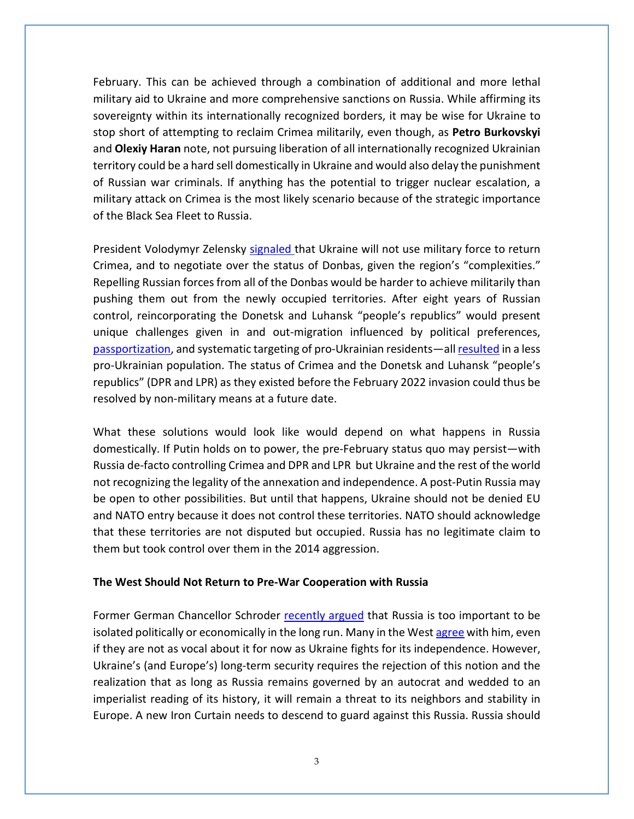February. This can be achieved through a combination of additional and more lethal military aid to Ukraine and more comprehensive sanctions on Russia. While affirming its sovereignty within its internationally recognized borders, it may be wise for Ukraine to stop short of attempting to reclaim Crimea militarily, even though, as **Petro Burkovskyi** and **Olexiy Haran** note, not pursuing liberation of all internationally recognized Ukrainian territory could be a hard sell domestically in Ukraine and would also delay the punishment of Russian war criminals. If anything has the potential to trigger nuclear escalation, a military attack on Crimea is the most likely scenario because of the strategic importance of the Black Sea Fleet to Russia.

President Volodymyr Zelensky [signaled t](https://www.newsweek.com/where-putin-zelensky-are-open-compromise-deal-end-war-1692987)hat Ukraine will not use military force to return Crimea, and to negotiate over the status of Donbas, given the region's "complexities." Repelling Russian forces from all of the Donbas would be harder to achieve militarily than pushing them out from the newly occupied territories. After eight years of Russian control, reincorporating the Donetsk and Luhansk "people's republics" would present unique challenges given in and out-migration influenced by political preferences, [passportization,](https://huri.harvard.edu/news/new-tcup-report-passportization-diminished-citizenship-rights-and-donbas-vote-russia%E2%80%99s) and systematic targeting of pro-Ukrainian residents—al[l resulted](https://www.washingtonpost.com/politics/2022/04/15/russia-ukraine-donbas-donetsk-luhansk-public-opinion/) in a less pro-Ukrainian population. The status of Crimea and the Donetsk and Luhansk "people's republics" (DPR and LPR) as they existed before the February 2022 invasion could thus be resolved by non-military means at a future date.

What these solutions would look like would depend on what happens in Russia domestically. If Putin holds on to power, the pre-February status quo may persist—with Russia de-facto controlling Crimea and DPR and LPR but Ukraine and the rest of the world not recognizing the legality of the annexation and independence. A post-Putin Russia may be open to other possibilities. But until that happens, Ukraine should not be denied EU and NATO entry because it does not control these territories. NATO should acknowledge that these territories are not disputed but occupied. Russia has no legitimate claim to them but took control over them in the 2014 aggression.

#### **The West Should Not Return to Pre-War Cooperation with Russia**

Former German Chancellor Schroder [recently argued](https://www.thetimes.co.uk/article/gerhard-schroeder-defends-lucrative-work-for-russian-energy-giants-572fss035) that Russia is too important to be isolated politically or economically in the long run. Many in the West [agree](https://www.ft.com/content/5e357d9e-6717-4091-a7db-fe43bdbdab1d) with him, even if they are not as vocal about it for now as Ukraine fights for its independence. However, Ukraine's (and Europe's) long-term security requires the rejection of this notion and the realization that as long as Russia remains governed by an autocrat and wedded to an imperialist reading of its history, it will remain a threat to its neighbors and stability in Europe. A new Iron Curtain needs to descend to guard against this Russia. Russia should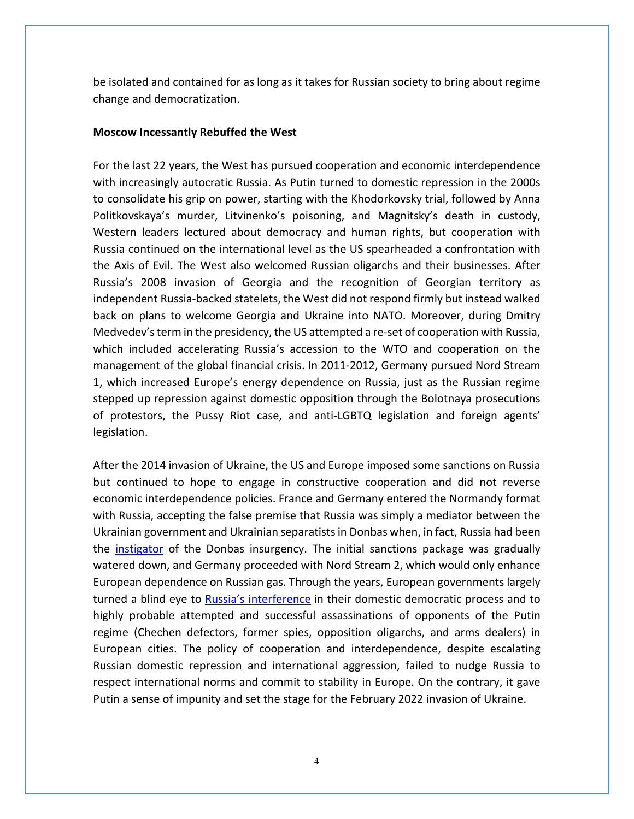be isolated and contained for as long as it takes for Russian society to bring about regime change and democratization.

#### **Moscow Incessantly Rebuffed the West**

For the last 22 years, the West has pursued cooperation and economic interdependence with increasingly autocratic Russia. As Putin turned to domestic repression in the 2000s to consolidate his grip on power, starting with the Khodorkovsky trial, followed by Anna Politkovskaya's murder, Litvinenko's poisoning, and Magnitsky's death in custody, Western leaders lectured about democracy and human rights, but cooperation with Russia continued on the international level as the US spearheaded a confrontation with the Axis of Evil. The West also welcomed Russian oligarchs and their businesses. After Russia's 2008 invasion of Georgia and the recognition of Georgian territory as independent Russia-backed statelets, the West did not respond firmly but instead walked back on plans to welcome Georgia and Ukraine into NATO. Moreover, during Dmitry Medvedev's term in the presidency, the US attempted a re-set of cooperation with Russia, which included accelerating Russia's accession to the WTO and cooperation on the management of the global financial crisis. In 2011-2012, Germany pursued Nord Stream 1, which increased Europe's energy dependence on Russia, just as the Russian regime stepped up repression against domestic opposition through the Bolotnaya prosecutions of protestors, the Pussy Riot case, and anti-LGBTQ legislation and foreign agents' legislation.

After the 2014 invasion of Ukraine, the US and Europe imposed some sanctions on Russia but continued to hope to engage in constructive cooperation and did not reverse economic interdependence policies. France and Germany entered the Normandy format with Russia, accepting the false premise that Russia was simply a mediator between the Ukrainian government and Ukrainian separatists in Donbas when, in fact, Russia had been the *instigator* of the Donbas insurgency. The initial sanctions package was gradually watered down, and Germany proceeded with Nord Stream 2, which would only enhance European dependence on Russian gas. Through the years, European governments largely turned a blind eye to [Russia's interference](https://www.epde.org/en/news/details/new-epde-publication-russian-interference-and-where-to-find-it.html) in their domestic democratic process and to highly probable attempted and successful assassinations of opponents of the Putin regime (Chechen defectors, former spies, opposition oligarchs, and arms dealers) in European cities. The policy of cooperation and interdependence, despite escalating Russian domestic repression and international aggression, failed to nudge Russia to respect international norms and commit to stability in Europe. On the contrary, it gave Putin a sense of impunity and set the stage for the February 2022 invasion of Ukraine.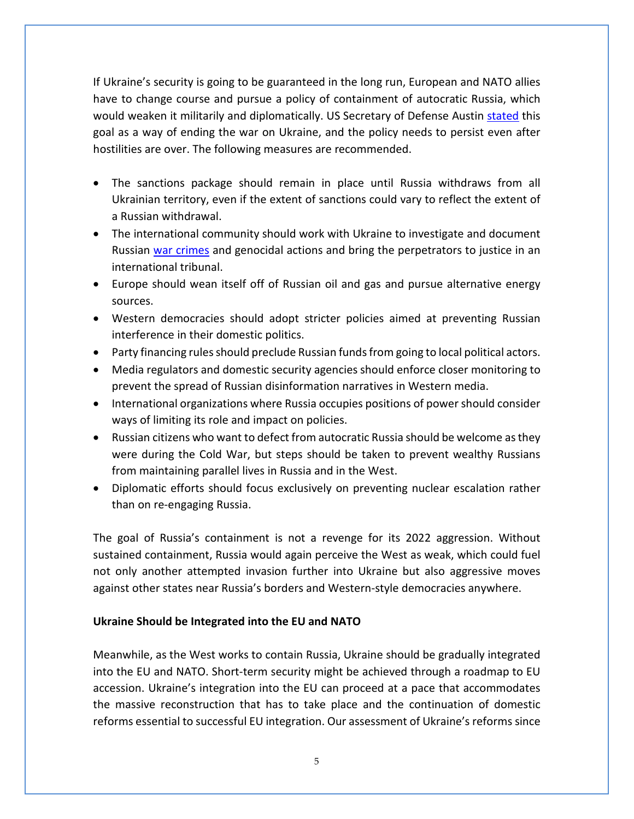If Ukraine's security is going to be guaranteed in the long run, European and NATO allies have to change course and pursue a policy of containment of autocratic Russia, which would weaken it militarily and diplomatically. US Secretary of Defense Austin stated this goal as a way of ending the war on Ukraine, and the policy needs to persist even after hostilities are over. The following measures are recommended.

- The sanctions package should remain in place until Russia withdraws from all Ukrainian territory, even if the extent of sanctions could vary to reflect the extent of a Russian withdrawal.
- The international community should work with Ukraine to investigate and document Russian war crimes and genocidal actions and bring the perpetrators to justice in an international tribunal.
- Europe should wean itself off of Russian oil and gas and pursue alternative energy sources.
- Western democracies should adopt stricter policies aimed at preventing Russian interference in their domestic politics.
- Party financing rules should preclude Russian funds from going to local political actors.
- Media regulators and domestic security agencies should enforce closer monitoring to prevent the spread of Russian disinformation narratives in Western media.
- International organizations where Russia occupies positions of power should consider ways of limiting its role and impact on policies.
- Russian citizens who want to defect from autocratic Russia should be welcome as they were during the Cold War, but steps should be taken to prevent wealthy Russians from maintaining parallel lives in Russia and in the West.
- Diplomatic efforts should focus exclusively on preventing nuclear escalation rather than on re-engaging Russia.

The goal of Russia's containment is not a revenge for its 2022 aggression. Without sustained containment, Russia would again perceive the West as weak, which could fuel not only another attempted invasion further into Ukraine but also aggressive moves against other states near Russia's borders and Western-style democracies anywhere.

## **Ukraine Should be Integrated into the EU and NATO**

Meanwhile, as the West works to contain Russia, Ukraine should be gradually integrated into the EU and NATO. Short-term security might be achieved through a roadmap to EU accession. Ukraine's integration into the EU can proceed at a pace that accommodates the massive reconstruction that has to take place and the continuation of domestic reforms essential to successful EU integration. Our assessment of Ukraine's reforms since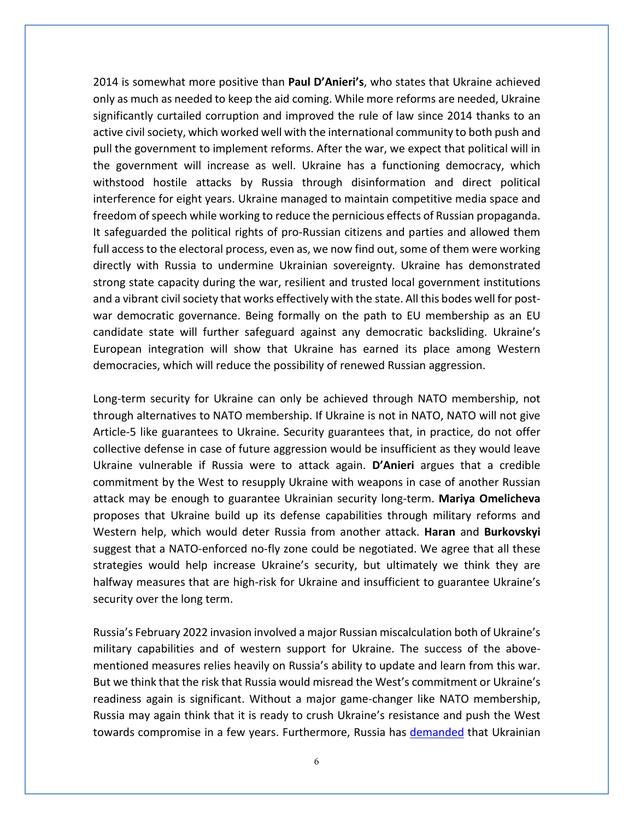2014 is somewhat more positive than **Paul D'Anieri's**, who states that Ukraine achieved only as much as needed to keep the aid coming. While more reforms are needed, Ukraine significantly curtailed corruption and improved the rule of law since 2014 thanks to an active civil society, which worked well with the international community to both push and pull the government to implement reforms. After the war, we expect that political will in the government will increase as well. Ukraine has a functioning democracy, which withstood hostile attacks by Russia through disinformation and direct political interference for eight years. Ukraine managed to maintain competitive media space and freedom of speech while working to reduce the pernicious effects of Russian propaganda. It safeguarded the political rights of pro-Russian citizens and parties and allowed them full access to the electoral process, even as, we now find out, some of them were working directly with Russia to undermine Ukrainian sovereignty. Ukraine has demonstrated strong state capacity during the war, resilient and trusted local government institutions and a vibrant civil society that works effectively with the state. All this bodes well for postwar democratic governance. Being formally on the path to EU membership as an EU candidate state will further safeguard against any democratic backsliding. Ukraine's European integration will show that Ukraine has earned its place among Western democracies, which will reduce the possibility of renewed Russian aggression.

Long-term security for Ukraine can only be achieved through NATO membership, not through alternatives to NATO membership. If Ukraine is not in NATO, NATO will not give Article-5 like guarantees to Ukraine. Security guarantees that, in practice, do not offer collective defense in case of future aggression would be insufficient as they would leave Ukraine vulnerable if Russia were to attack again. **D'Anieri** argues that a credible commitment by the West to resupply Ukraine with weapons in case of another Russian attack may be enough to guarantee Ukrainian security long-term. **Mariya Omelicheva** proposes that Ukraine build up its defense capabilities through military reforms and Western help, which would deter Russia from another attack. **Haran** and **Burkovskyi** suggest that a NATO-enforced no-fly zone could be negotiated. We agree that all these strategies would help increase Ukraine's security, but ultimately we think they are halfway measures that are high-risk for Ukraine and insufficient to guarantee Ukraine's security over the long term.

Russia's February 2022 invasion involved a major Russian miscalculation both of Ukraine's military capabilities and of western support for Ukraine. The success of the abovementioned measures relies heavily on Russia's ability to update and learn from this war. But we think that the risk that Russia would misread the West's commitment or Ukraine's readiness again is significant. Without a major game-changer like NATO membership, Russia may again think that it is ready to crush Ukraine's resistance and push the West towards compromise in a few years. Furthermore, Russia has demanded that Ukrainian